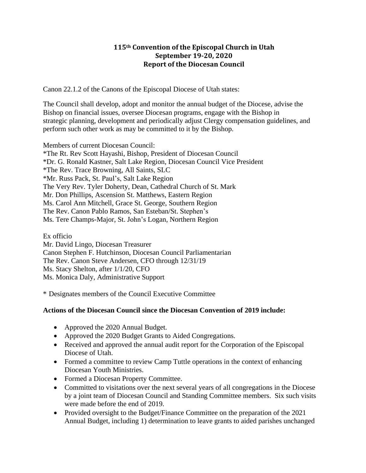## **115th Convention of the Episcopal Church in Utah September 19-20, 2020 Report of the Diocesan Council**

Canon 22.1.2 of the Canons of the Episcopal Diocese of Utah states:

The Council shall develop, adopt and monitor the annual budget of the Diocese, advise the Bishop on financial issues, oversee Diocesan programs, engage with the Bishop in strategic planning, development and periodically adjust Clergy compensation guidelines, and perform such other work as may be committed to it by the Bishop.

Members of current Diocesan Council: \*The Rt. Rev Scott Hayashi, Bishop, President of Diocesan Council \*Dr. G. Ronald Kastner, Salt Lake Region, Diocesan Council Vice President \*The Rev. Trace Browning, All Saints, SLC \*Mr. Russ Pack, St. Paul's, Salt Lake Region The Very Rev. Tyler Doherty, Dean, Cathedral Church of St. Mark Mr. Don Phillips, Ascension St. Matthews, Eastern Region Ms. Carol Ann Mitchell, Grace St. George, Southern Region The Rev. Canon Pablo Ramos, San Esteban/St. Stephen's Ms. Tere Champs-Major, St. John's Logan, Northern Region

Ex officio Mr. David Lingo, Diocesan Treasurer Canon Stephen F. Hutchinson, Diocesan Council Parliamentarian The Rev. Canon Steve Andersen, CFO through 12/31/19 Ms. Stacy Shelton, after 1/1/20, CFO Ms. Monica Daly, Administrative Support

\* Designates members of the Council Executive Committee

## **Actions of the Diocesan Council since the Diocesan Convention of 2019 include:**

- Approved the 2020 Annual Budget.
- Approved the 2020 Budget Grants to Aided Congregations.
- Received and approved the annual audit report for the Corporation of the Episcopal Diocese of Utah.
- Formed a committee to review Camp Tuttle operations in the context of enhancing Diocesan Youth Ministries.
- Formed a Diocesan Property Committee.
- Committed to visitations over the next several years of all congregations in the Diocese by a joint team of Diocesan Council and Standing Committee members. Six such visits were made before the end of 2019.
- Provided oversight to the Budget/Finance Committee on the preparation of the 2021 Annual Budget, including 1) determination to leave grants to aided parishes unchanged